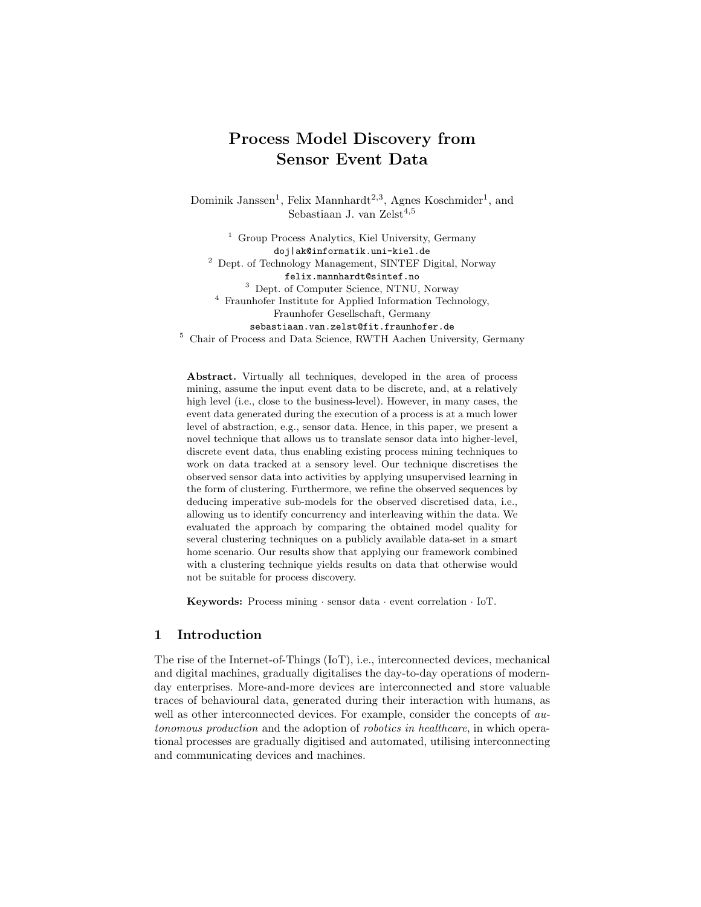# Process Model Discovery from Sensor Event Data

Dominik Janssen<sup>1</sup>, Felix Mannhardt<sup>2,3</sup>, Agnes Koschmider<sup>1</sup>, and Sebastiaan J. van Zelst<sup>4,5</sup>

<sup>1</sup> Group Process Analytics, Kiel University, Germany doj|ak@informatik.uni-kiel.de <sup>2</sup> Dept. of Technology Management, SINTEF Digital, Norway felix.mannhardt@sintef.no <sup>3</sup> Dept. of Computer Science, NTNU, Norway <sup>4</sup> Fraunhofer Institute for Applied Information Technology, Fraunhofer Gesellschaft, Germany sebastiaan.van.zelst@fit.fraunhofer.de <sup>5</sup> Chair of Process and Data Science, RWTH Aachen University, Germany

Abstract. Virtually all techniques, developed in the area of process mining, assume the input event data to be discrete, and, at a relatively high level (i.e., close to the business-level). However, in many cases, the event data generated during the execution of a process is at a much lower level of abstraction, e.g., sensor data. Hence, in this paper, we present a novel technique that allows us to translate sensor data into higher-level, discrete event data, thus enabling existing process mining techniques to work on data tracked at a sensory level. Our technique discretises the observed sensor data into activities by applying unsupervised learning in the form of clustering. Furthermore, we refine the observed sequences by deducing imperative sub-models for the observed discretised data, i.e., allowing us to identify concurrency and interleaving within the data. We evaluated the approach by comparing the obtained model quality for several clustering techniques on a publicly available data-set in a smart home scenario. Our results show that applying our framework combined with a clustering technique yields results on data that otherwise would not be suitable for process discovery.

Keywords: Process mining · sensor data · event correlation · IoT.

## 1 Introduction

The rise of the Internet-of-Things (IoT), i.e., interconnected devices, mechanical and digital machines, gradually digitalises the day-to-day operations of modernday enterprises. More-and-more devices are interconnected and store valuable traces of behavioural data, generated during their interaction with humans, as well as other interconnected devices. For example, consider the concepts of  $au$ tonomous production and the adoption of robotics in healthcare, in which operational processes are gradually digitised and automated, utilising interconnecting and communicating devices and machines.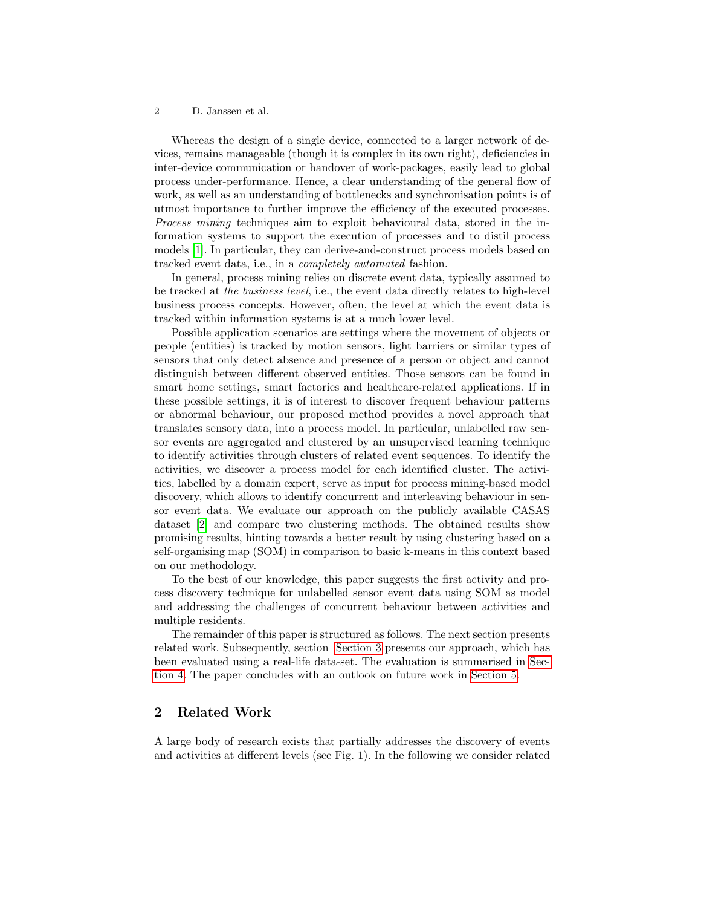Whereas the design of a single device, connected to a larger network of devices, remains manageable (though it is complex in its own right), deficiencies in inter-device communication or handover of work-packages, easily lead to global process under-performance. Hence, a clear understanding of the general flow of work, as well as an understanding of bottlenecks and synchronisation points is of utmost importance to further improve the efficiency of the executed processes. Process mining techniques aim to exploit behavioural data, stored in the information systems to support the execution of processes and to distil process models [\[1\]](#page-10-0). In particular, they can derive-and-construct process models based on tracked event data, i.e., in a completely automated fashion.

In general, process mining relies on discrete event data, typically assumed to be tracked at the business level, i.e., the event data directly relates to high-level business process concepts. However, often, the level at which the event data is tracked within information systems is at a much lower level.

Possible application scenarios are settings where the movement of objects or people (entities) is tracked by motion sensors, light barriers or similar types of sensors that only detect absence and presence of a person or object and cannot distinguish between different observed entities. Those sensors can be found in smart home settings, smart factories and healthcare-related applications. If in these possible settings, it is of interest to discover frequent behaviour patterns or abnormal behaviour, our proposed method provides a novel approach that translates sensory data, into a process model. In particular, unlabelled raw sensor events are aggregated and clustered by an unsupervised learning technique to identify activities through clusters of related event sequences. To identify the activities, we discover a process model for each identified cluster. The activities, labelled by a domain expert, serve as input for process mining-based model discovery, which allows to identify concurrent and interleaving behaviour in sensor event data. We evaluate our approach on the publicly available CASAS dataset [\[2\]](#page-10-1) and compare two clustering methods. The obtained results show promising results, hinting towards a better result by using clustering based on a self-organising map (SOM) in comparison to basic k-means in this context based on our methodology.

To the best of our knowledge, this paper suggests the first activity and process discovery technique for unlabelled sensor event data using SOM as model and addressing the challenges of concurrent behaviour between activities and multiple residents.

The remainder of this paper is structured as follows. The next section presents related work. Subsequently, section [Section 3](#page-2-0) presents our approach, which has been evaluated using a real-life data-set. The evaluation is summarised in [Sec](#page-6-0)[tion 4.](#page-6-0) The paper concludes with an outlook on future work in [Section 5.](#page-9-0)

## 2 Related Work

A large body of research exists that partially addresses the discovery of events and activities at different levels (see Fig. 1). In the following we consider related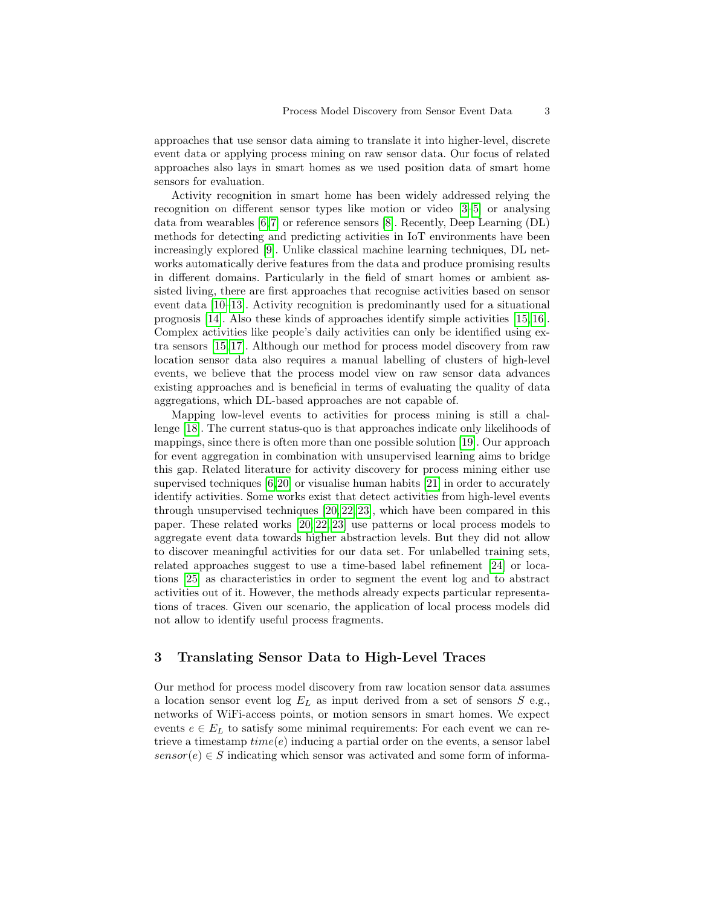approaches that use sensor data aiming to translate it into higher-level, discrete event data or applying process mining on raw sensor data. Our focus of related approaches also lays in smart homes as we used position data of smart home sensors for evaluation.

Activity recognition in smart home has been widely addressed relying the recognition on different sensor types like motion or video [\[3](#page-10-2)[–5\]](#page-10-3) or analysing data from wearables [\[6,](#page-10-4)[7\]](#page-10-5) or reference sensors [\[8\]](#page-10-6). Recently, Deep Learning (DL) methods for detecting and predicting activities in IoT environments have been increasingly explored [\[9\]](#page-10-7). Unlike classical machine learning techniques, DL networks automatically derive features from the data and produce promising results in different domains. Particularly in the field of smart homes or ambient assisted living, there are first approaches that recognise activities based on sensor event data [\[10–](#page-10-8)[13\]](#page-11-0). Activity recognition is predominantly used for a situational prognosis [\[14\]](#page-11-1). Also these kinds of approaches identify simple activities [\[15,](#page-11-2) [16\]](#page-11-3). Complex activities like people's daily activities can only be identified using extra sensors [\[15,](#page-11-2) [17\]](#page-11-4). Although our method for process model discovery from raw location sensor data also requires a manual labelling of clusters of high-level events, we believe that the process model view on raw sensor data advances existing approaches and is beneficial in terms of evaluating the quality of data aggregations, which DL-based approaches are not capable of.

Mapping low-level events to activities for process mining is still a challenge [\[18\]](#page-11-5). The current status-quo is that approaches indicate only likelihoods of mappings, since there is often more than one possible solution [\[19\]](#page-11-6). Our approach for event aggregation in combination with unsupervised learning aims to bridge this gap. Related literature for activity discovery for process mining either use supervised techniques [\[6,](#page-10-4)[20\]](#page-11-7) or visualise human habits [\[21\]](#page-11-8) in order to accurately identify activities. Some works exist that detect activities from high-level events through unsupervised techniques [\[20,](#page-11-7) [22,](#page-11-9) [23\]](#page-11-10), which have been compared in this paper. These related works [\[20,](#page-11-7) [22,](#page-11-9) [23\]](#page-11-10) use patterns or local process models to aggregate event data towards higher abstraction levels. But they did not allow to discover meaningful activities for our data set. For unlabelled training sets, related approaches suggest to use a time-based label refinement [\[24\]](#page-11-11) or locations [\[25\]](#page-11-12) as characteristics in order to segment the event log and to abstract activities out of it. However, the methods already expects particular representations of traces. Given our scenario, the application of local process models did not allow to identify useful process fragments.

## <span id="page-2-0"></span>3 Translating Sensor Data to High-Level Traces

Our method for process model discovery from raw location sensor data assumes a location sensor event log  $E<sub>L</sub>$  as input derived from a set of sensors S e.g., networks of WiFi-access points, or motion sensors in smart homes. We expect events  $e \in E_L$  to satisfy some minimal requirements: For each event we can retrieve a timestamp  $time(e)$  inducing a partial order on the events, a sensor label  $sensor(e) \in S$  indicating which sensor was activated and some form of informa-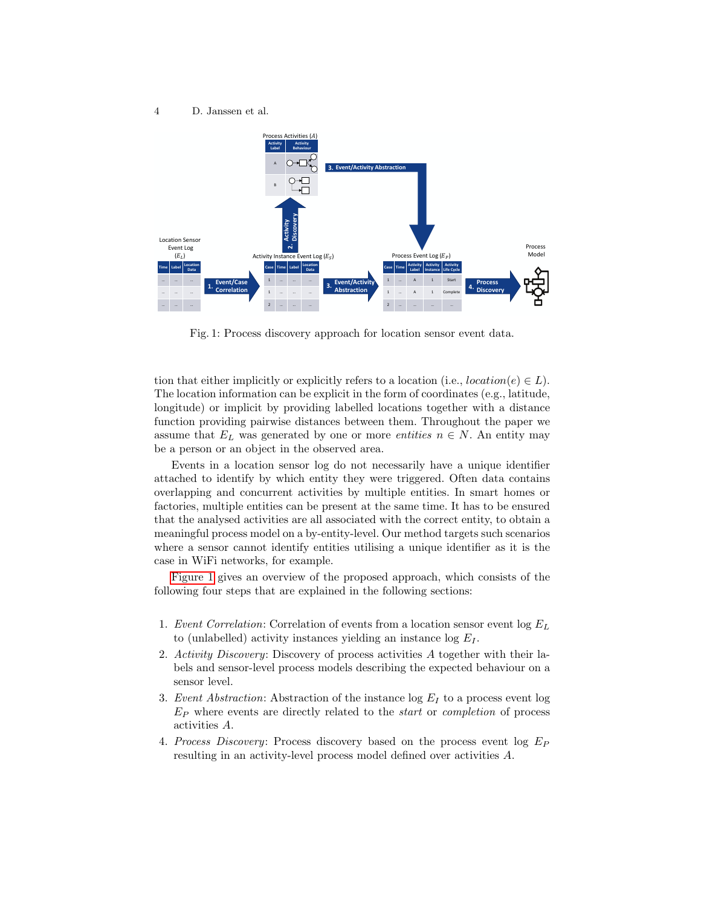<span id="page-3-0"></span>

Fig. 1: Process discovery approach for location sensor event data.

tion that either implicitly or explicitly refers to a location (i.e.,  $location(e) \in L$ ). The location information can be explicit in the form of coordinates (e.g., latitude, longitude) or implicit by providing labelled locations together with a distance function providing pairwise distances between them. Throughout the paper we assume that  $E_L$  was generated by one or more *entities*  $n \in N$ . An entity may be a person or an object in the observed area.

Events in a location sensor log do not necessarily have a unique identifier attached to identify by which entity they were triggered. Often data contains overlapping and concurrent activities by multiple entities. In smart homes or factories, multiple entities can be present at the same time. It has to be ensured that the analysed activities are all associated with the correct entity, to obtain a meaningful process model on a by-entity-level. Our method targets such scenarios where a sensor cannot identify entities utilising a unique identifier as it is the case in WiFi networks, for example.

[Figure 1](#page-3-0) gives an overview of the proposed approach, which consists of the following four steps that are explained in the following sections:

- 1. Event Correlation: Correlation of events from a location sensor event  $\log E_L$ to (unlabelled) activity instances yielding an instance  $\log E_I$ .
- 2. Activity Discovery: Discovery of process activities A together with their labels and sensor-level process models describing the expected behaviour on a sensor level.
- 3. Event Abstraction: Abstraction of the instance  $\log E_I$  to a process event  $\log$  $E_P$  where events are directly related to the *start* or *completion* of process activities A.
- 4. Process Discovery: Process discovery based on the process event  $log E_P$ resulting in an activity-level process model defined over activities A.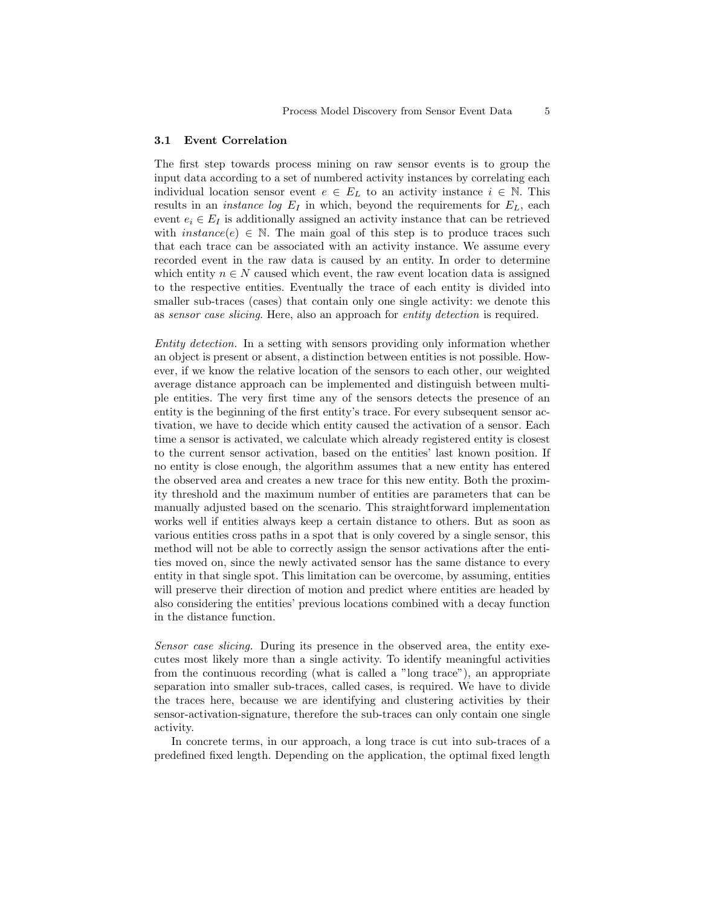#### <span id="page-4-0"></span>3.1 Event Correlation

The first step towards process mining on raw sensor events is to group the input data according to a set of numbered activity instances by correlating each individual location sensor event  $e \in E_L$  to an activity instance  $i \in \mathbb{N}$ . This results in an *instance log*  $E_I$  in which, beyond the requirements for  $E_L$ , each event  $e_i \in E_I$  is additionally assigned an activity instance that can be retrieved with  $instance(e) \in \mathbb{N}$ . The main goal of this step is to produce traces such that each trace can be associated with an activity instance. We assume every recorded event in the raw data is caused by an entity. In order to determine which entity  $n \in N$  caused which event, the raw event location data is assigned to the respective entities. Eventually the trace of each entity is divided into smaller sub-traces (cases) that contain only one single activity: we denote this as sensor case slicing. Here, also an approach for entity detection is required.

Entity detection. In a setting with sensors providing only information whether an object is present or absent, a distinction between entities is not possible. However, if we know the relative location of the sensors to each other, our weighted average distance approach can be implemented and distinguish between multiple entities. The very first time any of the sensors detects the presence of an entity is the beginning of the first entity's trace. For every subsequent sensor activation, we have to decide which entity caused the activation of a sensor. Each time a sensor is activated, we calculate which already registered entity is closest to the current sensor activation, based on the entities' last known position. If no entity is close enough, the algorithm assumes that a new entity has entered the observed area and creates a new trace for this new entity. Both the proximity threshold and the maximum number of entities are parameters that can be manually adjusted based on the scenario. This straightforward implementation works well if entities always keep a certain distance to others. But as soon as various entities cross paths in a spot that is only covered by a single sensor, this method will not be able to correctly assign the sensor activations after the entities moved on, since the newly activated sensor has the same distance to every entity in that single spot. This limitation can be overcome, by assuming, entities will preserve their direction of motion and predict where entities are headed by also considering the entities' previous locations combined with a decay function in the distance function.

Sensor case slicing. During its presence in the observed area, the entity executes most likely more than a single activity. To identify meaningful activities from the continuous recording (what is called a "long trace"), an appropriate separation into smaller sub-traces, called cases, is required. We have to divide the traces here, because we are identifying and clustering activities by their sensor-activation-signature, therefore the sub-traces can only contain one single activity.

In concrete terms, in our approach, a long trace is cut into sub-traces of a predefined fixed length. Depending on the application, the optimal fixed length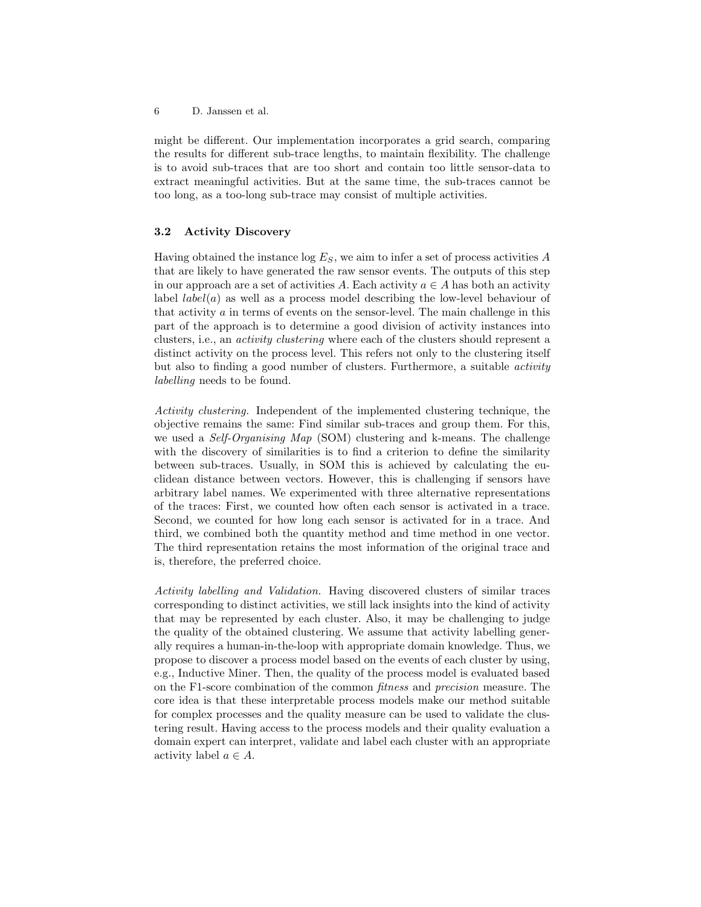might be different. Our implementation incorporates a grid search, comparing the results for different sub-trace lengths, to maintain flexibility. The challenge is to avoid sub-traces that are too short and contain too little sensor-data to extract meaningful activities. But at the same time, the sub-traces cannot be too long, as a too-long sub-trace may consist of multiple activities.

### <span id="page-5-0"></span>3.2 Activity Discovery

Having obtained the instance log  $E_S$ , we aim to infer a set of process activities  $A$ that are likely to have generated the raw sensor events. The outputs of this step in our approach are a set of activities A. Each activity  $a \in A$  has both an activity label  $label(a)$  as well as a process model describing the low-level behaviour of that activity  $a$  in terms of events on the sensor-level. The main challenge in this part of the approach is to determine a good division of activity instances into clusters, i.e., an activity clustering where each of the clusters should represent a distinct activity on the process level. This refers not only to the clustering itself but also to finding a good number of clusters. Furthermore, a suitable activity labelling needs to be found.

Activity clustering. Independent of the implemented clustering technique, the objective remains the same: Find similar sub-traces and group them. For this, we used a *Self-Organising Map* (SOM) clustering and k-means. The challenge with the discovery of similarities is to find a criterion to define the similarity between sub-traces. Usually, in SOM this is achieved by calculating the euclidean distance between vectors. However, this is challenging if sensors have arbitrary label names. We experimented with three alternative representations of the traces: First, we counted how often each sensor is activated in a trace. Second, we counted for how long each sensor is activated for in a trace. And third, we combined both the quantity method and time method in one vector. The third representation retains the most information of the original trace and is, therefore, the preferred choice.

Activity labelling and Validation. Having discovered clusters of similar traces corresponding to distinct activities, we still lack insights into the kind of activity that may be represented by each cluster. Also, it may be challenging to judge the quality of the obtained clustering. We assume that activity labelling generally requires a human-in-the-loop with appropriate domain knowledge. Thus, we propose to discover a process model based on the events of each cluster by using, e.g., Inductive Miner. Then, the quality of the process model is evaluated based on the F1-score combination of the common fitness and precision measure. The core idea is that these interpretable process models make our method suitable for complex processes and the quality measure can be used to validate the clustering result. Having access to the process models and their quality evaluation a domain expert can interpret, validate and label each cluster with an appropriate activity label  $a \in A$ .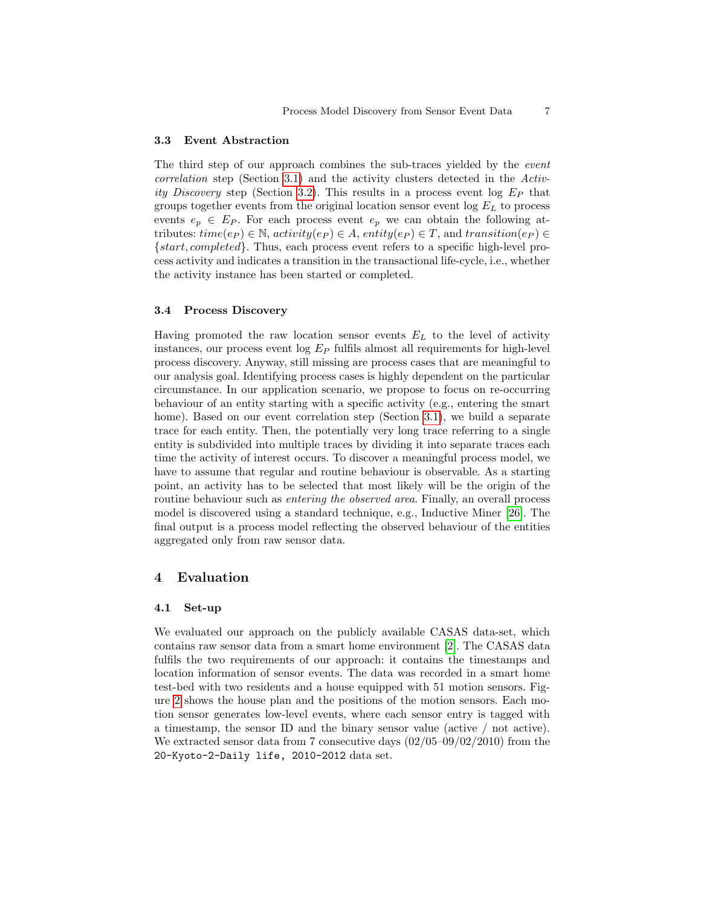#### 3.3 Event Abstraction

The third step of our approach combines the sub-traces yielded by the *event* correlation step (Section [3.1\)](#page-4-0) and the activity clusters detected in the Activ-ity Discovery step (Section [3.2\)](#page-5-0). This results in a process event log  $E_P$  that groups together events from the original location sensor event log  $E_L$  to process events  $e_p \in E_P$ . For each process event  $e_p$  we can obtain the following attributes:  $time(e_P) \in \mathbb{N}$ ,  $activity(e_P) \in A$ ,  $entity(e_P) \in T$ , and  $transition(e_P) \in$ {start, completed}. Thus, each process event refers to a specific high-level process activity and indicates a transition in the transactional life-cycle, i.e., whether the activity instance has been started or completed.

#### <span id="page-6-1"></span>3.4 Process Discovery

Having promoted the raw location sensor events  $E_L$  to the level of activity instances, our process event  $\log E_P$  fulfils almost all requirements for high-level process discovery. Anyway, still missing are process cases that are meaningful to our analysis goal. Identifying process cases is highly dependent on the particular circumstance. In our application scenario, we propose to focus on re-occurring behaviour of an entity starting with a specific activity (e.g., entering the smart home). Based on our event correlation step (Section [3.1\)](#page-4-0), we build a separate trace for each entity. Then, the potentially very long trace referring to a single entity is subdivided into multiple traces by dividing it into separate traces each time the activity of interest occurs. To discover a meaningful process model, we have to assume that regular and routine behaviour is observable. As a starting point, an activity has to be selected that most likely will be the origin of the routine behaviour such as *entering the observed area*. Finally, an overall process model is discovered using a standard technique, e.g., Inductive Miner [\[26\]](#page-11-13). The final output is a process model reflecting the observed behaviour of the entities aggregated only from raw sensor data.

## <span id="page-6-0"></span>4 Evaluation

#### 4.1 Set-up

We evaluated our approach on the publicly available CASAS data-set, which contains raw sensor data from a smart home environment [\[2\]](#page-10-1). The CASAS data fulfils the two requirements of our approach: it contains the timestamps and location information of sensor events. The data was recorded in a smart home test-bed with two residents and a house equipped with 51 motion sensors. Figure [2](#page-7-0) shows the house plan and the positions of the motion sensors. Each motion sensor generates low-level events, where each sensor entry is tagged with a timestamp, the sensor ID and the binary sensor value (active / not active). We extracted sensor data from 7 consecutive days (02/05–09/02/2010) from the 20-Kyoto-2-Daily life, 2010-2012 data set.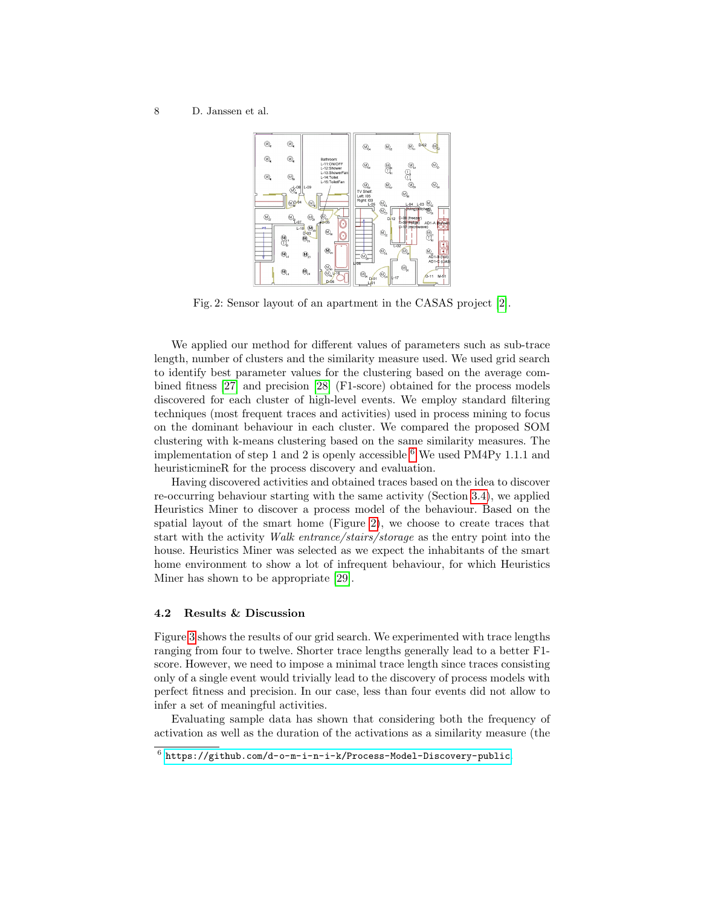<span id="page-7-0"></span>

Fig. 2: Sensor layout of an apartment in the CASAS project [\[2\]](#page-10-1).

We applied our method for different values of parameters such as sub-trace length, number of clusters and the similarity measure used. We used grid search to identify best parameter values for the clustering based on the average combined fitness [\[27\]](#page-11-14) and precision [\[28\]](#page-11-15) (F1-score) obtained for the process models discovered for each cluster of high-level events. We employ standard filtering techniques (most frequent traces and activities) used in process mining to focus on the dominant behaviour in each cluster. We compared the proposed SOM clustering with k-means clustering based on the same similarity measures. The implementation of step 1 and 2 is openly accessible  $6$  We used PM4Py 1.1.1 and heuristicmineR for the process discovery and evaluation.

Having discovered activities and obtained traces based on the idea to discover re-occurring behaviour starting with the same activity (Section [3.4\)](#page-6-1), we applied Heuristics Miner to discover a process model of the behaviour. Based on the spatial layout of the smart home (Figure [2\)](#page-7-0), we choose to create traces that start with the activity Walk entrance/stairs/storage as the entry point into the house. Heuristics Miner was selected as we expect the inhabitants of the smart home environment to show a lot of infrequent behaviour, for which Heuristics Miner has shown to be appropriate [\[29\]](#page-11-16).

#### 4.2 Results & Discussion

Figure [3](#page-8-0) shows the results of our grid search. We experimented with trace lengths ranging from four to twelve. Shorter trace lengths generally lead to a better F1 score. However, we need to impose a minimal trace length since traces consisting only of a single event would trivially lead to the discovery of process models with perfect fitness and precision. In our case, less than four events did not allow to infer a set of meaningful activities.

Evaluating sample data has shown that considering both the frequency of activation as well as the duration of the activations as a similarity measure (the

<span id="page-7-1"></span> $^6$  <https://github.com/d-o-m-i-n-i-k/Process-Model-Discovery-public>.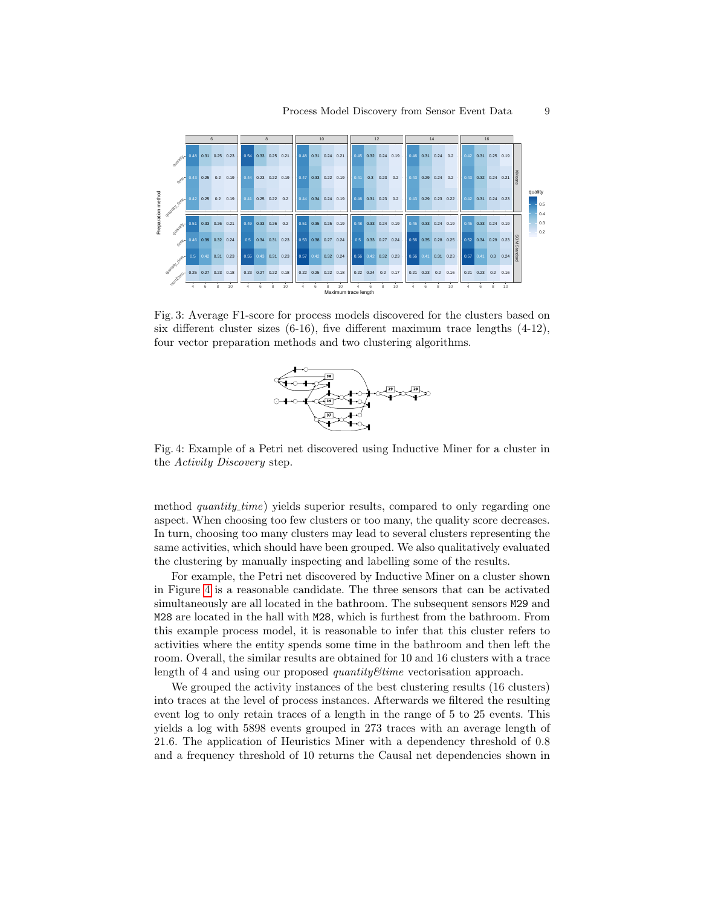<span id="page-8-0"></span>

<span id="page-8-1"></span>Fig. 3: Average F1-score for process models discovered for the clusters based on six different cluster sizes  $(6-16)$ , five different maximum trace lengths  $(4-12)$ , four vector preparation methods and two clustering algorithms.



Fig. 4: Example of a Petri net discovered using Inductive Miner for a cluster in the Activity Discovery step.

method *quantity\_time*) yields superior results, compared to only regarding one aspect. When choosing too few clusters or too many, the quality score decreases. In turn, choosing too many clusters may lead to several clusters representing the same activities, which should have been grouped. We also qualitatively evaluated the clustering by manually inspecting and labelling some of the results.

For example, the Petri net discovered by Inductive Miner on a cluster shown in Figure [4](#page-8-1) is a reasonable candidate. The three sensors that can be activated simultaneously are all located in the bathroom. The subsequent sensors M29 and M28 are located in the hall with M28, which is furthest from the bathroom. From this example process model, it is reasonable to infer that this cluster refers to activities where the entity spends some time in the bathroom and then left the room. Overall, the similar results are obtained for 10 and 16 clusters with a trace length of 4 and using our proposed *quantity & time* vectorisation approach.

We grouped the activity instances of the best clustering results (16 clusters) into traces at the level of process instances. Afterwards we filtered the resulting event log to only retain traces of a length in the range of 5 to 25 events. This yields a log with 5898 events grouped in 273 traces with an average length of 21.6. The application of Heuristics Miner with a dependency threshold of 0.8 and a frequency threshold of 10 returns the Causal net dependencies shown in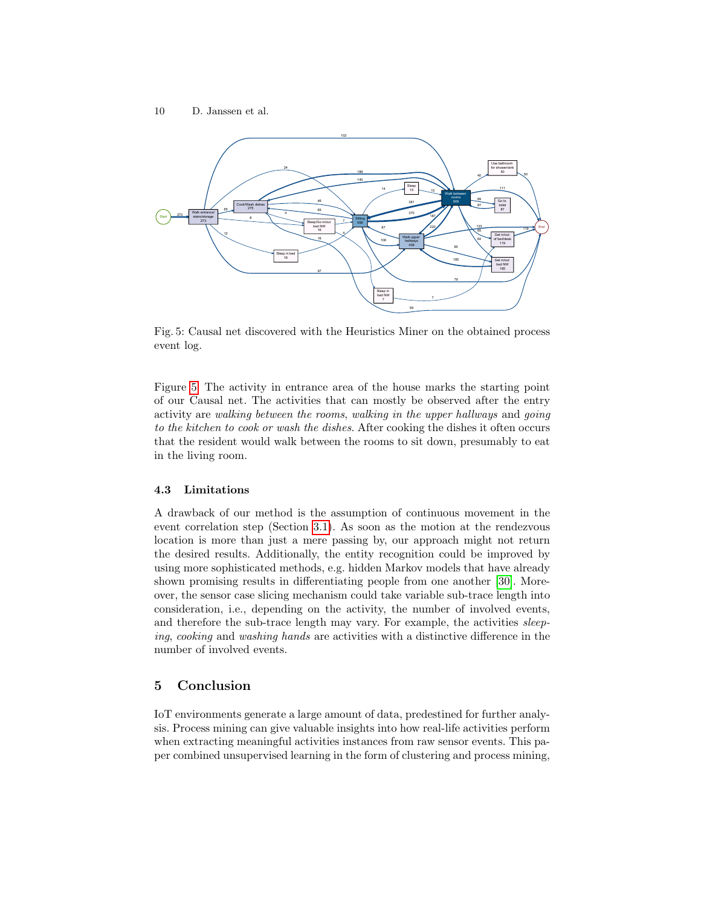<span id="page-9-1"></span>

Fig. 5: Causal net discovered with the Heuristics Miner on the obtained process event log.

Figure [5.](#page-9-1) The activity in entrance area of the house marks the starting point of our Causal net. The activities that can mostly be observed after the entry activity are walking between the rooms, walking in the upper hallways and going to the kitchen to cook or wash the dishes. After cooking the dishes it often occurs that the resident would walk between the rooms to sit down, presumably to eat in the living room.

## 4.3 Limitations

A drawback of our method is the assumption of continuous movement in the event correlation step (Section [3.1\)](#page-4-0). As soon as the motion at the rendezvous location is more than just a mere passing by, our approach might not return the desired results. Additionally, the entity recognition could be improved by using more sophisticated methods, e.g. hidden Markov models that have already shown promising results in differentiating people from one another [\[30\]](#page-11-17). Moreover, the sensor case slicing mechanism could take variable sub-trace length into consideration, i.e., depending on the activity, the number of involved events, and therefore the sub-trace length may vary. For example, the activities *sleep*ing, cooking and washing hands are activities with a distinctive difference in the number of involved events.

## <span id="page-9-0"></span>5 Conclusion

IoT environments generate a large amount of data, predestined for further analysis. Process mining can give valuable insights into how real-life activities perform when extracting meaningful activities instances from raw sensor events. This paper combined unsupervised learning in the form of clustering and process mining,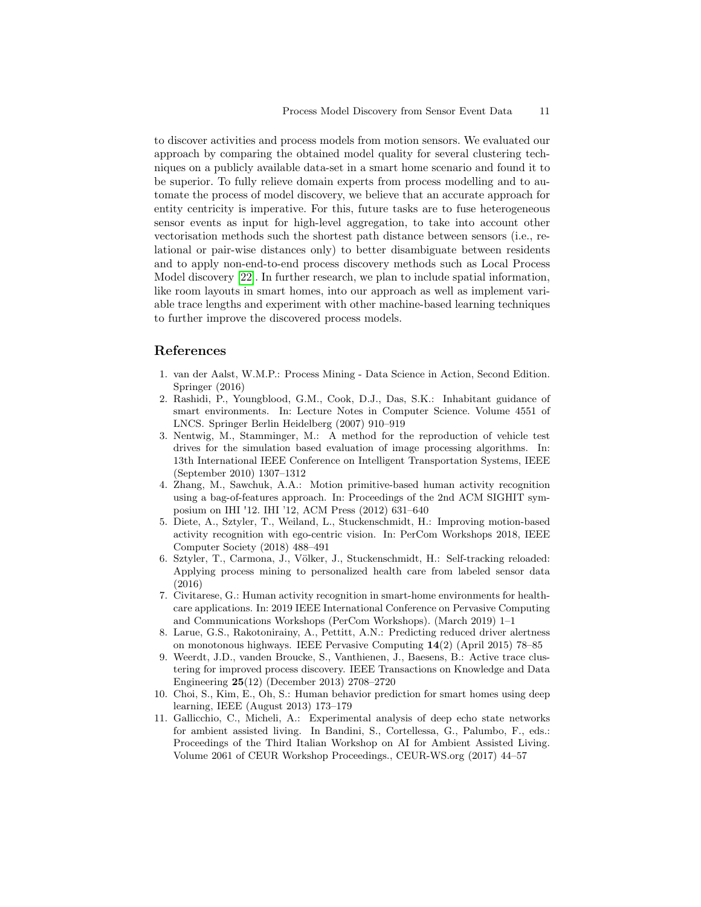to discover activities and process models from motion sensors. We evaluated our approach by comparing the obtained model quality for several clustering techniques on a publicly available data-set in a smart home scenario and found it to be superior. To fully relieve domain experts from process modelling and to automate the process of model discovery, we believe that an accurate approach for entity centricity is imperative. For this, future tasks are to fuse heterogeneous sensor events as input for high-level aggregation, to take into account other vectorisation methods such the shortest path distance between sensors (i.e., relational or pair-wise distances only) to better disambiguate between residents and to apply non-end-to-end process discovery methods such as Local Process Model discovery [\[22\]](#page-11-9). In further research, we plan to include spatial information, like room layouts in smart homes, into our approach as well as implement variable trace lengths and experiment with other machine-based learning techniques to further improve the discovered process models.

## References

- <span id="page-10-0"></span>1. van der Aalst, W.M.P.: Process Mining - Data Science in Action, Second Edition. Springer (2016)
- <span id="page-10-1"></span>2. Rashidi, P., Youngblood, G.M., Cook, D.J., Das, S.K.: Inhabitant guidance of smart environments. In: Lecture Notes in Computer Science. Volume 4551 of LNCS. Springer Berlin Heidelberg (2007) 910–919
- <span id="page-10-2"></span>3. Nentwig, M., Stamminger, M.: A method for the reproduction of vehicle test drives for the simulation based evaluation of image processing algorithms. In: 13th International IEEE Conference on Intelligent Transportation Systems, IEEE (September 2010) 1307–1312
- 4. Zhang, M., Sawchuk, A.A.: Motion primitive-based human activity recognition using a bag-of-features approach. In: Proceedings of the 2nd ACM SIGHIT symposium on IHI '12. IHI '12, ACM Press (2012) 631–640
- <span id="page-10-3"></span>5. Diete, A., Sztyler, T., Weiland, L., Stuckenschmidt, H.: Improving motion-based activity recognition with ego-centric vision. In: PerCom Workshops 2018, IEEE Computer Society (2018) 488–491
- <span id="page-10-4"></span>6. Sztyler, T., Carmona, J., Völker, J., Stuckenschmidt, H.: Self-tracking reloaded: Applying process mining to personalized health care from labeled sensor data (2016)
- <span id="page-10-5"></span>7. Civitarese, G.: Human activity recognition in smart-home environments for healthcare applications. In: 2019 IEEE International Conference on Pervasive Computing and Communications Workshops (PerCom Workshops). (March 2019) 1–1
- <span id="page-10-6"></span>8. Larue, G.S., Rakotonirainy, A., Pettitt, A.N.: Predicting reduced driver alertness on monotonous highways. IEEE Pervasive Computing 14(2) (April 2015) 78–85
- <span id="page-10-7"></span>9. Weerdt, J.D., vanden Broucke, S., Vanthienen, J., Baesens, B.: Active trace clustering for improved process discovery. IEEE Transactions on Knowledge and Data Engineering 25(12) (December 2013) 2708–2720
- <span id="page-10-8"></span>10. Choi, S., Kim, E., Oh, S.: Human behavior prediction for smart homes using deep learning, IEEE (August 2013) 173–179
- 11. Gallicchio, C., Micheli, A.: Experimental analysis of deep echo state networks for ambient assisted living. In Bandini, S., Cortellessa, G., Palumbo, F., eds.: Proceedings of the Third Italian Workshop on AI for Ambient Assisted Living. Volume 2061 of CEUR Workshop Proceedings., CEUR-WS.org (2017) 44–57